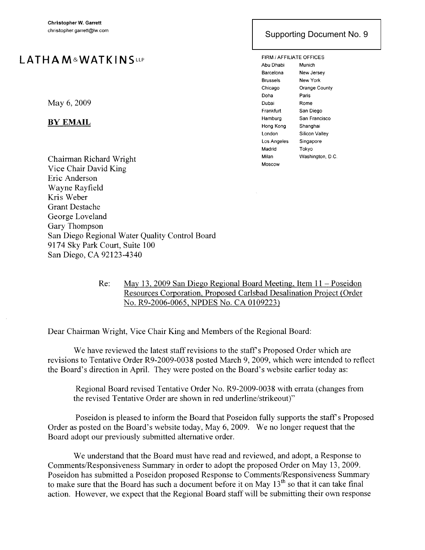## **LATH A M&WAT KIN** SLLP

May 6, 2009

## BY EMAIL

Chairman Richard Wright Vice Chair David King Eric Anderson Wayne Rayfield Kris Weber Grant Destache George Loveland Gary Thompson San Diego Regional Water Quality Control Board 9174 Sky Park Court, Suite 100 San Diego, CA 92123-4340

## San Diego, California 92101-3375 Supporting Document No. 9

FIRM / AFFILIATE OFFICES Abu Dhabi Munich Barcelona New Jersey Brussels New York Chicago Orange County Doha Paris Dubai Rome Frankfurt San Diego Hamburg San Francisco Hong Kong Shanghai London Silicon Valley Los Angeles Singapore Madrid Tokyo Milan Washington, D.C. Moscow

Re: May 13,2009 San Diego Regional Board Meeting, Item 11 - Poseidon Resources Corporation, Proposed Carlsbad Desalination Project (Order No. R9-2006-0065, NPDES No. CA 0109223)

Dear Chairman Wright, Vice Chair King and Members of the Regional Board:

We have reviewed the latest staff revisions to the staff's Proposed Order which are revisions to Tentative Order R9-2009-0038 posted March 9, 2009, which were intended to reflect the Board's direction in April. They were posted on the Board's website earlier today as:

Regional Board revised Tentative Order No. R9-2009-0038 with errata (changes from the revised Tentative Order are shown in red underline/strikeout)"

Poseidon is pleased to inform the Board that Poseidon fully supports the staff's Proposed Order as posted on the Board's website today, May 6, 2009. We no longer request that the Board adopt our previously submitted alternative order.

We understand that the Board must have read and reviewed, and adopt, a Response to Comments/Responsiveness Summary in order to adopt the proposed Order on May 13,2009. Poseidon has submitted a Poseidon proposed Response to Comments/Responsiveness Summary to make sure that the Board has such a document before it on May 13<sup>th</sup> so that it can take final action. However, we expect that the Regional Board staff will be submitting their own response